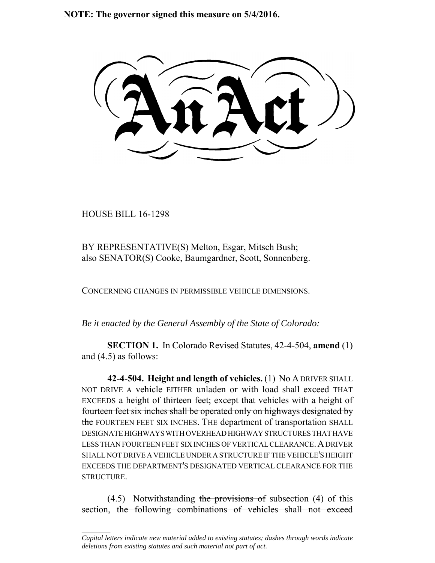**NOTE: The governor signed this measure on 5/4/2016.**

HOUSE BILL 16-1298

 $\frac{1}{2}$ 

BY REPRESENTATIVE(S) Melton, Esgar, Mitsch Bush; also SENATOR(S) Cooke, Baumgardner, Scott, Sonnenberg.

CONCERNING CHANGES IN PERMISSIBLE VEHICLE DIMENSIONS.

*Be it enacted by the General Assembly of the State of Colorado:*

**SECTION 1.** In Colorado Revised Statutes, 42-4-504, **amend** (1) and (4.5) as follows:

**42-4-504. Height and length of vehicles.** (1) No A DRIVER SHALL NOT DRIVE A vehicle EITHER unladen or with load shall exceed THAT EXCEEDS a height of thirteen feet; except that vehicles with a height of fourteen feet six inches shall be operated only on highways designated by the FOURTEEN FEET SIX INCHES. THE department of transportation SHALL DESIGNATE HIGHWAYS WITH OVERHEAD HIGHWAY STRUCTURES THAT HAVE LESS THAN FOURTEEN FEET SIX INCHES OF VERTICAL CLEARANCE.A DRIVER SHALL NOT DRIVE A VEHICLE UNDER A STRUCTURE IF THE VEHICLE'S HEIGHT EXCEEDS THE DEPARTMENT'S DESIGNATED VERTICAL CLEARANCE FOR THE STRUCTURE.

 $(4.5)$  Notwithstanding the provisions of subsection  $(4)$  of this section, the following combinations of vehicles shall not exceed

*Capital letters indicate new material added to existing statutes; dashes through words indicate deletions from existing statutes and such material not part of act.*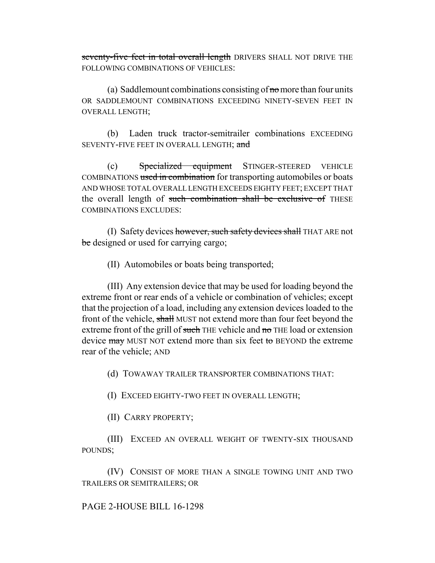seventy-five feet in total overall length DRIVERS SHALL NOT DRIVE THE FOLLOWING COMBINATIONS OF VEHICLES:

(a) Saddlemount combinations consisting of  $\pi$  more than four units OR SADDLEMOUNT COMBINATIONS EXCEEDING NINETY-SEVEN FEET IN OVERALL LENGTH;

(b) Laden truck tractor-semitrailer combinations EXCEEDING SEVENTY-FIVE FEET IN OVERALL LENGTH; and

(c) Specialized equipment STINGER-STEERED VEHICLE COMBINATIONS used in combination for transporting automobiles or boats AND WHOSE TOTAL OVERALL LENGTH EXCEEDS EIGHTY FEET; EXCEPT THAT the overall length of such combination shall be exclusive of THESE COMBINATIONS EXCLUDES:

(I) Safety devices however, such safety devices shall THAT ARE not be designed or used for carrying cargo;

(II) Automobiles or boats being transported;

(III) Any extension device that may be used for loading beyond the extreme front or rear ends of a vehicle or combination of vehicles; except that the projection of a load, including any extension devices loaded to the front of the vehicle, shall MUST not extend more than four feet beyond the extreme front of the grill of such THE vehicle and no THE load or extension device may MUST NOT extend more than six feet to BEYOND the extreme rear of the vehicle; AND

(d) TOWAWAY TRAILER TRANSPORTER COMBINATIONS THAT:

(I) EXCEED EIGHTY-TWO FEET IN OVERALL LENGTH;

(II) CARRY PROPERTY;

(III) EXCEED AN OVERALL WEIGHT OF TWENTY-SIX THOUSAND POUNDS;

(IV) CONSIST OF MORE THAN A SINGLE TOWING UNIT AND TWO TRAILERS OR SEMITRAILERS; OR

PAGE 2-HOUSE BILL 16-1298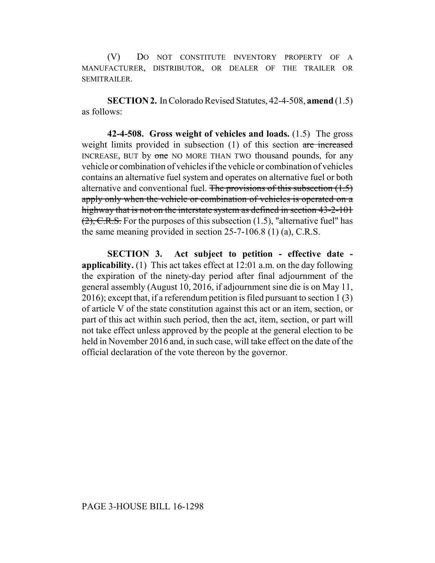(V) DO NOT CONSTITUTE INVENTORY PROPERTY OF A MANUFACTURER, DISTRIBUTOR, OR DEALER OF THE TRAILER OR SEMITRAILER.

**SECTION 2.** In Colorado Revised Statutes, 42-4-508, **amend** (1.5) as follows:

**42-4-508. Gross weight of vehicles and loads.** (1.5) The gross weight limits provided in subsection (1) of this section are increased INCREASE, BUT by one NO MORE THAN TWO thousand pounds, for any vehicle or combination of vehicles if the vehicle or combination of vehicles contains an alternative fuel system and operates on alternative fuel or both alternative and conventional fuel. The provisions of this subsection  $(1.5)$ apply only when the vehicle or combination of vehicles is operated on a highway that is not on the interstate system as defined in section 43-2-101  $(2)$ , C.R.S. For the purposes of this subsection (1.5), "alternative fuel" has the same meaning provided in section 25-7-106.8 (1) (a), C.R.S.

**SECTION 3. Act subject to petition - effective date applicability.** (1) This act takes effect at 12:01 a.m. on the day following the expiration of the ninety-day period after final adjournment of the general assembly (August 10, 2016, if adjournment sine die is on May 11, 2016); except that, if a referendum petition is filed pursuant to section 1 (3) of article V of the state constitution against this act or an item, section, or part of this act within such period, then the act, item, section, or part will not take effect unless approved by the people at the general election to be held in November 2016 and, in such case, will take effect on the date of the official declaration of the vote thereon by the governor.